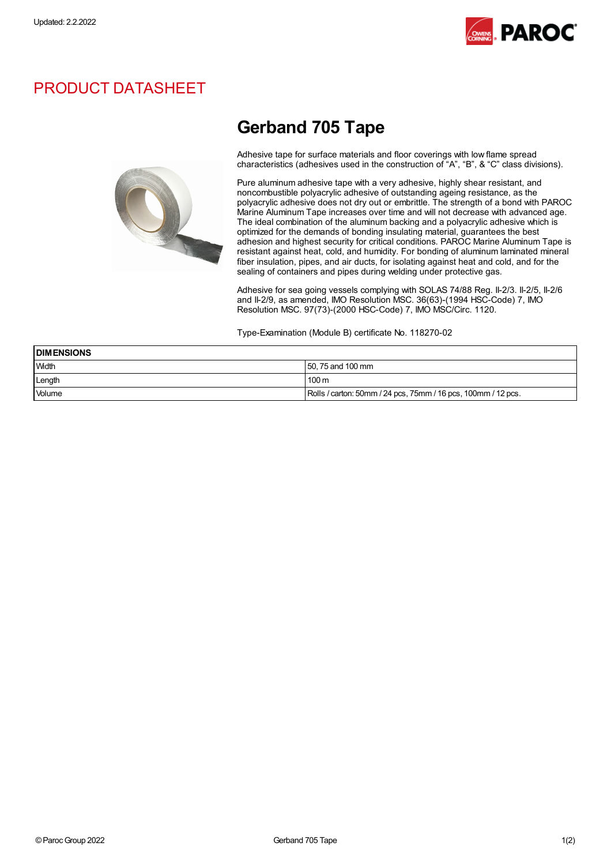

# PRODUCT DATASHEET



# Gerband 705 Tape

Adhesive tape for surface materials and floor coverings with low flame spread characteristics (adhesives used in the construction of "A", "B", & "C" class divisions).

Pure aluminum adhesive tape with a very adhesive, highly shear resistant, and noncombustible polyacrylic adhesive of outstanding ageing resistance, as the polyacrylic adhesive does not dry out or embrittle. The strength of a bond with PAROC Marine Aluminum Tape increases over time and will not decrease with advanced age. The ideal combination of the aluminum backing and a polyacrylic adhesive which is optimized for the demands of bonding insulating material, guarantees the best adhesion and highest security for critical conditions. PAROC Marine Aluminum Tape is resistant against heat, cold, and humidity. For bonding of aluminum laminated mineral fiber insulation, pipes, and air ducts, for isolating against heat and cold, and for the sealing of containers and pipes during welding under protective gas.

Adhesive for sea going vessels complying with SOLAS 74/88 Reg. II-2/3. II-2/5, II-2/6 and II-2/9, as amended, IMO Resolution MSC. 36(63)-(1994 HSC-Code) 7, IMO Resolution MSC. 97(73)-(2000 HSC-Code) 7, IMO MSC/Circ. 1120.

Type-Examination (Module B) certificate No. 118270-02

| <b>DIMENSIONS</b> |                                                               |  |
|-------------------|---------------------------------------------------------------|--|
| <b>Width</b>      | 50, 75 and 100 mm                                             |  |
| Length            | 100 <sub>m</sub>                                              |  |
| Volume            | Rolls / carton: 50mm / 24 pcs, 75mm / 16 pcs, 100mm / 12 pcs. |  |